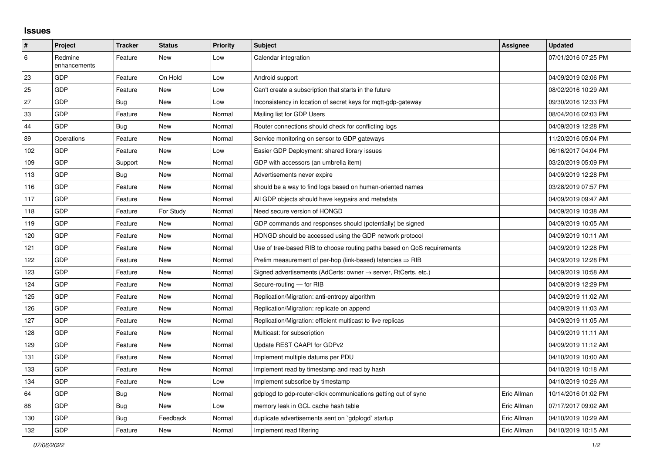## **Issues**

| $\sharp$ | Project                 | <b>Tracker</b> | <b>Status</b> | <b>Priority</b> | <b>Subject</b>                                                             | Assignee    | <b>Updated</b>      |
|----------|-------------------------|----------------|---------------|-----------------|----------------------------------------------------------------------------|-------------|---------------------|
| 6        | Redmine<br>enhancements | Feature        | <b>New</b>    | Low             | Calendar integration                                                       |             | 07/01/2016 07:25 PM |
| 23       | <b>GDP</b>              | Feature        | On Hold       | Low             | Android support                                                            |             | 04/09/2019 02:06 PM |
| 25       | GDP                     | Feature        | <b>New</b>    | Low             | Can't create a subscription that starts in the future                      |             | 08/02/2016 10:29 AM |
| 27       | <b>GDP</b>              | Bug            | <b>New</b>    | Low             | Inconsistency in location of secret keys for mqtt-gdp-gateway              |             | 09/30/2016 12:33 PM |
| 33       | GDP                     | Feature        | New           | Normal          | Mailing list for GDP Users                                                 |             | 08/04/2016 02:03 PM |
| 44       | <b>GDP</b>              | Bug            | <b>New</b>    | Normal          | Router connections should check for conflicting logs                       |             | 04/09/2019 12:28 PM |
| 89       | Operations              | Feature        | New           | Normal          | Service monitoring on sensor to GDP gateways                               |             | 11/20/2016 05:04 PM |
| 102      | GDP                     | Feature        | <b>New</b>    | Low             | Easier GDP Deployment: shared library issues                               |             | 06/16/2017 04:04 PM |
| 109      | <b>GDP</b>              | Support        | New           | Normal          | GDP with accessors (an umbrella item)                                      |             | 03/20/2019 05:09 PM |
| 113      | GDP                     | Bug            | <b>New</b>    | Normal          | Advertisements never expire                                                |             | 04/09/2019 12:28 PM |
| 116      | <b>GDP</b>              | Feature        | <b>New</b>    | Normal          | should be a way to find logs based on human-oriented names                 |             | 03/28/2019 07:57 PM |
| 117      | <b>GDP</b>              | Feature        | New           | Normal          | All GDP objects should have keypairs and metadata                          |             | 04/09/2019 09:47 AM |
| 118      | <b>GDP</b>              | Feature        | For Study     | Normal          | Need secure version of HONGD                                               |             | 04/09/2019 10:38 AM |
| 119      | <b>GDP</b>              | Feature        | New           | Normal          | GDP commands and responses should (potentially) be signed                  |             | 04/09/2019 10:05 AM |
| 120      | GDP                     | Feature        | <b>New</b>    | Normal          | HONGD should be accessed using the GDP network protocol                    |             | 04/09/2019 10:11 AM |
| 121      | GDP                     | Feature        | <b>New</b>    | Normal          | Use of tree-based RIB to choose routing paths based on QoS requirements    |             | 04/09/2019 12:28 PM |
| 122      | GDP                     | Feature        | <b>New</b>    | Normal          | Prelim measurement of per-hop (link-based) latencies $\Rightarrow$ RIB     |             | 04/09/2019 12:28 PM |
| 123      | GDP                     | Feature        | <b>New</b>    | Normal          | Signed advertisements (AdCerts: owner $\rightarrow$ server, RtCerts, etc.) |             | 04/09/2019 10:58 AM |
| 124      | <b>GDP</b>              | Feature        | <b>New</b>    | Normal          | Secure-routing - for RIB                                                   |             | 04/09/2019 12:29 PM |
| 125      | GDP                     | Feature        | <b>New</b>    | Normal          | Replication/Migration: anti-entropy algorithm                              |             | 04/09/2019 11:02 AM |
| 126      | <b>GDP</b>              | Feature        | <b>New</b>    | Normal          | Replication/Migration: replicate on append                                 |             | 04/09/2019 11:03 AM |
| 127      | <b>GDP</b>              | Feature        | New           | Normal          | Replication/Migration: efficient multicast to live replicas                |             | 04/09/2019 11:05 AM |
| 128      | GDP                     | Feature        | <b>New</b>    | Normal          | Multicast: for subscription                                                |             | 04/09/2019 11:11 AM |
| 129      | <b>GDP</b>              | Feature        | New           | Normal          | Update REST CAAPI for GDPv2                                                |             | 04/09/2019 11:12 AM |
| 131      | GDP                     | Feature        | New           | Normal          | Implement multiple datums per PDU                                          |             | 04/10/2019 10:00 AM |
| 133      | <b>GDP</b>              | Feature        | <b>New</b>    | Normal          | Implement read by timestamp and read by hash                               |             | 04/10/2019 10:18 AM |
| 134      | <b>GDP</b>              | Feature        | New           | Low             | Implement subscribe by timestamp                                           |             | 04/10/2019 10:26 AM |
| 64       | <b>GDP</b>              | Bug            | <b>New</b>    | Normal          | gdplogd to gdp-router-click communications getting out of sync             | Eric Allman | 10/14/2016 01:02 PM |
| 88       | <b>GDP</b>              | Bug            | New           | Low             | memory leak in GCL cache hash table                                        | Eric Allman | 07/17/2017 09:02 AM |
| 130      | GDP                     | <b>Bug</b>     | Feedback      | Normal          | duplicate advertisements sent on `gdplogd` startup                         | Eric Allman | 04/10/2019 10:29 AM |
| 132      | <b>GDP</b>              | Feature        | <b>New</b>    | Normal          | Implement read filtering                                                   | Eric Allman | 04/10/2019 10:15 AM |